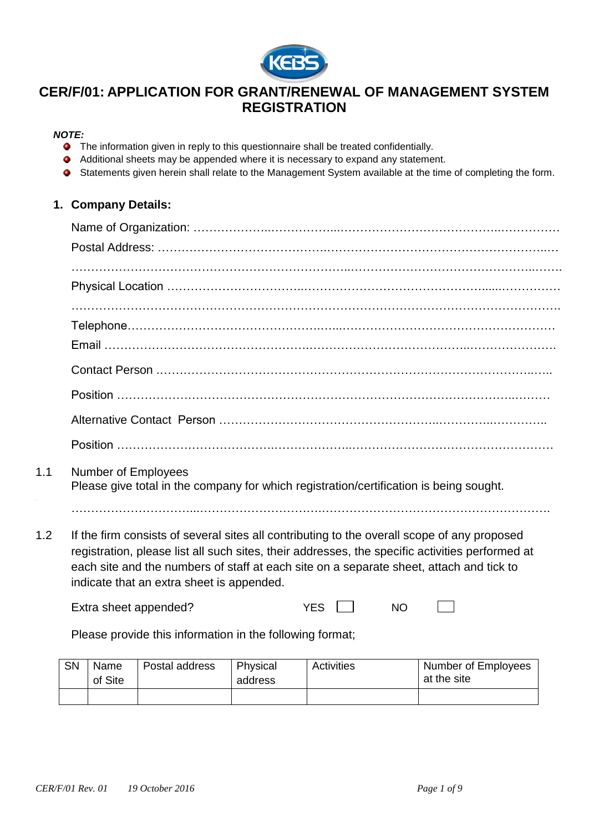

# **CER/F/01: APPLICATION FOR GRANT/RENEWAL OF MANAGEMENT SYSTEM REGISTRATION**

## *NOTE:*

- The information given in reply to this questionnaire shall be treated confidentially.
- Additional sheets may be appended where it is necessary to expand any statement.
- Statements given herein shall relate to the Management System available at the time of completing the form.

## **1. Company Details:**

- 1.1 Number of Employees Please give total in the company for which registration/certification is being sought.
	- …………………………...………………………….………………………………………………….
- 1.2 If the firm consists of several sites all contributing to the overall scope of any proposed registration, please list all such sites, their addresses, the specific activities performed at each site and the numbers of staff at each site on a separate sheet, attach and tick to indicate that an extra sheet is appended.

| Extra sheet appended? | YES |  |
|-----------------------|-----|--|
|                       |     |  |

Please provide this information in the following format;

| SN | Name<br>of Site | Postal address | Physical<br>address | Activities | Number of Employees<br>at the site |
|----|-----------------|----------------|---------------------|------------|------------------------------------|
|    |                 |                |                     |            |                                    |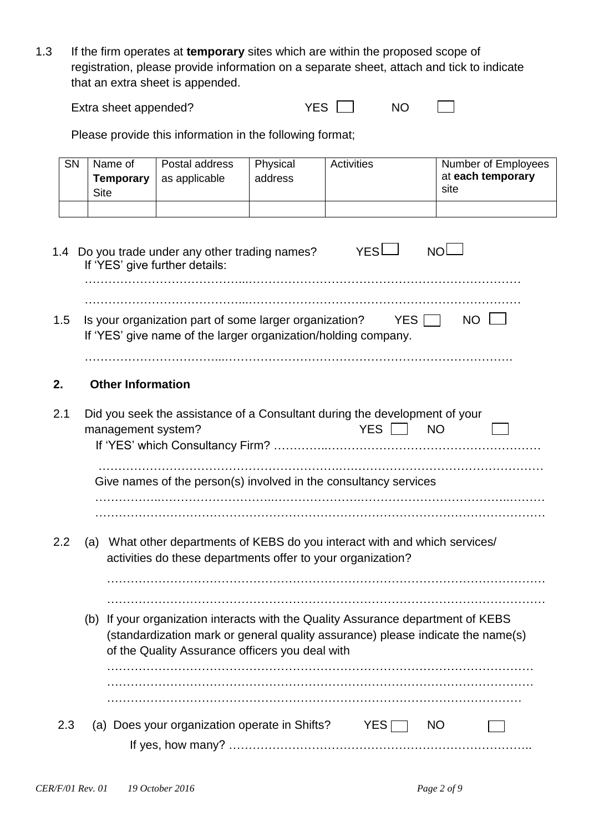1.3 If the firm operates at **temporary** sites which are within the proposed scope of registration, please provide information on a separate sheet, attach and tick to indicate that an extra sheet is appended.

| Extra sheet appended? |  | ΝC |  |
|-----------------------|--|----|--|
|-----------------------|--|----|--|

Please provide this information in the following format;

| SN  | Name of<br><b>Temporary</b><br><b>Site</b> | Postal address<br>as applicable                                                                                          | Physical<br>address | <b>Activities</b>                                                                                                                                                   | Number of Employees<br>at each temporary<br>site |
|-----|--------------------------------------------|--------------------------------------------------------------------------------------------------------------------------|---------------------|---------------------------------------------------------------------------------------------------------------------------------------------------------------------|--------------------------------------------------|
|     |                                            | 1.4 Do you trade under any other trading names?<br>If 'YES' give further details:                                        |                     | YESL                                                                                                                                                                | NOL                                              |
| 1.5 |                                            | Is your organization part of some larger organization?<br>If 'YES' give name of the larger organization/holding company. |                     | YES                                                                                                                                                                 | <b>NO</b>                                        |
| 2.  | <b>Other Information</b>                   |                                                                                                                          |                     |                                                                                                                                                                     |                                                  |
| 2.1 | management system?                         |                                                                                                                          |                     | Did you seek the assistance of a Consultant during the development of your<br>YES    <br><b>NO</b>                                                                  |                                                  |
|     |                                            |                                                                                                                          |                     | Give names of the person(s) involved in the consultancy services                                                                                                    |                                                  |
| 2.2 | (a)                                        | activities do these departments offer to your organization?                                                              |                     | What other departments of KEBS do you interact with and which services/                                                                                             |                                                  |
|     |                                            | of the Quality Assurance officers you deal with                                                                          |                     | (b) If your organization interacts with the Quality Assurance department of KEBS<br>(standardization mark or general quality assurance) please indicate the name(s) |                                                  |
| 2.3 |                                            | (a) Does your organization operate in Shifts?                                                                            |                     | YES                                                                                                                                                                 | <b>NO</b>                                        |
|     |                                            |                                                                                                                          |                     |                                                                                                                                                                     |                                                  |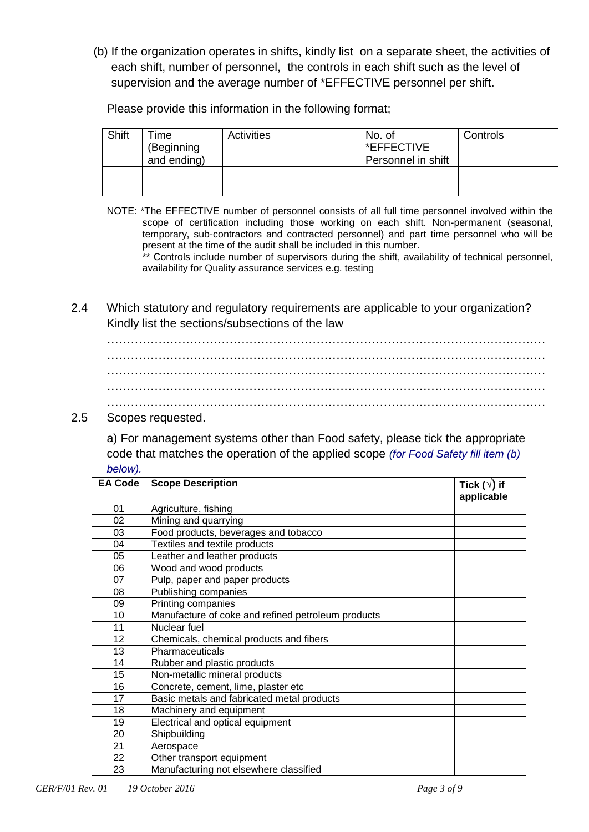(b) If the organization operates in shifts, kindly list on a separate sheet, the activities of each shift, number of personnel, the controls in each shift such as the level of supervision and the average number of \*EFFECTIVE personnel per shift.

Please provide this information in the following format;

| Shift | ⊺ime<br>(Beginning<br>and ending) | Activities | No. of<br>*EFFECTIVE<br>Personnel in shift | Controls |
|-------|-----------------------------------|------------|--------------------------------------------|----------|
|       |                                   |            |                                            |          |
|       |                                   |            |                                            |          |

NOTE: \*The EFFECTIVE number of personnel consists of all full time personnel involved within the scope of certification including those working on each shift. Non-permanent (seasonal, temporary, sub-contractors and contracted personnel) and part time personnel who will be present at the time of the audit shall be included in this number.

\*\* Controls include number of supervisors during the shift, availability of technical personnel, availability for Quality assurance services e.g. testing

2.4 Which statutory and regulatory requirements are applicable to your organization? Kindly list the sections/subsections of the law

# 2.5 Scopes requested.

a) For management systems other than Food safety, please tick the appropriate code that matches the operation of the applied scope *(for Food Safety fill item (b) below).*

| <b>EA Code</b> | <b>Scope Description</b>                           | Tick ( $\sqrt{}$ ) if<br>applicable |
|----------------|----------------------------------------------------|-------------------------------------|
| 01             | Agriculture, fishing                               |                                     |
| 02             | Mining and quarrying                               |                                     |
| 03             | Food products, beverages and tobacco               |                                     |
| 04             | Textiles and textile products                      |                                     |
| 05             | Leather and leather products                       |                                     |
| 06             | Wood and wood products                             |                                     |
| 07             | Pulp, paper and paper products                     |                                     |
| 08             | Publishing companies                               |                                     |
| 09             | Printing companies                                 |                                     |
| 10             | Manufacture of coke and refined petroleum products |                                     |
| 11             | Nuclear fuel                                       |                                     |
| 12             | Chemicals, chemical products and fibers            |                                     |
| 13             | Pharmaceuticals                                    |                                     |
| 14             | Rubber and plastic products                        |                                     |
| 15             | Non-metallic mineral products                      |                                     |
| 16             | Concrete, cement, lime, plaster etc                |                                     |
| 17             | Basic metals and fabricated metal products         |                                     |
| 18             | Machinery and equipment                            |                                     |
| 19             | Electrical and optical equipment                   |                                     |
| 20             | Shipbuilding                                       |                                     |
| 21             | Aerospace                                          |                                     |
| 22             | Other transport equipment                          |                                     |
| 23             | Manufacturing not elsewhere classified             |                                     |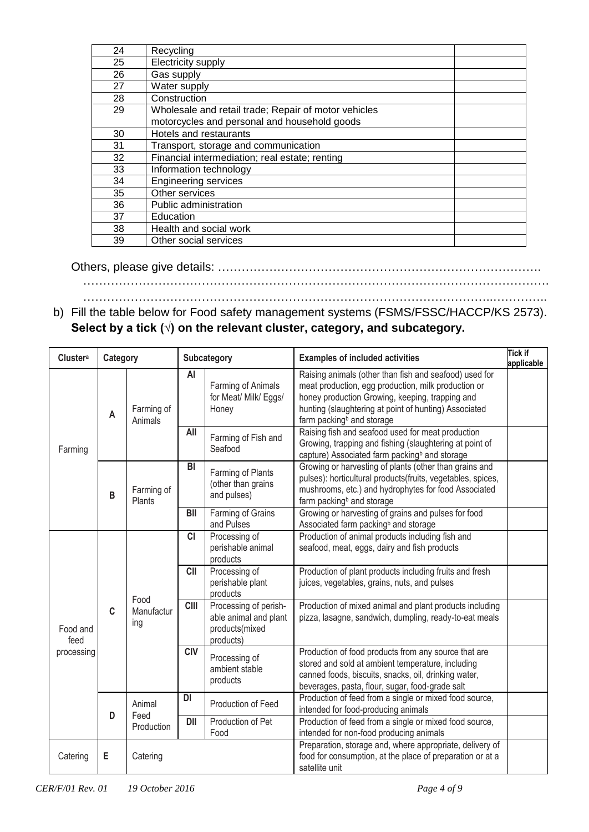| 24 | Recycling                                                                                            |  |
|----|------------------------------------------------------------------------------------------------------|--|
| 25 | Electricity supply                                                                                   |  |
| 26 | Gas supply                                                                                           |  |
| 27 | Water supply                                                                                         |  |
| 28 | Construction                                                                                         |  |
| 29 | Wholesale and retail trade; Repair of motor vehicles<br>motorcycles and personal and household goods |  |
| 30 | Hotels and restaurants                                                                               |  |
| 31 | Transport, storage and communication                                                                 |  |
| 32 | Financial intermediation; real estate; renting                                                       |  |
| 33 | Information technology                                                                               |  |
| 34 | <b>Engineering services</b>                                                                          |  |
| 35 | Other services                                                                                       |  |
| 36 | Public administration                                                                                |  |
| 37 | Education                                                                                            |  |
| 38 | Health and social work                                                                               |  |
| 39 | Other social services                                                                                |  |

# Others, please give details: ……………………………………………………………………….

………………………………………………………………………………………………………. …………………………………………………………………………………………..…………..

b) Fill the table below for Food safety management systems (FSMS/FSSC/HACCP/KS 2573). **Select by a tick (√) on the relevant cluster, category, and subcategory.**

| <b>Clustera</b><br>Category<br>Subcategory |             |                           | <b>Examples of included activities</b> | <b>Tick if</b><br>applicable                                                  |                                                                                                                                                                                                                        |                                                                                                         |                                             |                                                                                                                                                                                                                      |  |  |                       |    |                                                      |                                                                                                                                                                                                                                                                    |  |
|--------------------------------------------|-------------|---------------------------|----------------------------------------|-------------------------------------------------------------------------------|------------------------------------------------------------------------------------------------------------------------------------------------------------------------------------------------------------------------|---------------------------------------------------------------------------------------------------------|---------------------------------------------|----------------------------------------------------------------------------------------------------------------------------------------------------------------------------------------------------------------------|--|--|-----------------------|----|------------------------------------------------------|--------------------------------------------------------------------------------------------------------------------------------------------------------------------------------------------------------------------------------------------------------------------|--|
|                                            | A           |                           |                                        |                                                                               |                                                                                                                                                                                                                        |                                                                                                         |                                             |                                                                                                                                                                                                                      |  |  | Farming of<br>Animals | AI | Farming of Animals<br>for Meat/ Milk/ Eggs/<br>Honey | Raising animals (other than fish and seafood) used for<br>meat production, egg production, milk production or<br>honey production Growing, keeping, trapping and<br>hunting (slaughtering at point of hunting) Associated<br>farm packing <sup>b</sup> and storage |  |
| Farming                                    |             |                           | All                                    | Farming of Fish and<br>Seafood                                                | Raising fish and seafood used for meat production<br>Growing, trapping and fishing (slaughtering at point of<br>capture) Associated farm packing <sup>b</sup> and storage                                              |                                                                                                         |                                             |                                                                                                                                                                                                                      |  |  |                       |    |                                                      |                                                                                                                                                                                                                                                                    |  |
|                                            | B           | Farming of<br>Plants      | BI                                     | Farming of Plants<br>(other than grains<br>and pulses)                        | Growing or harvesting of plants (other than grains and<br>pulses): horticultural products(fruits, vegetables, spices,<br>mushrooms, etc.) and hydrophytes for food Associated<br>farm packing <sup>b</sup> and storage |                                                                                                         |                                             |                                                                                                                                                                                                                      |  |  |                       |    |                                                      |                                                                                                                                                                                                                                                                    |  |
|                                            |             |                           |                                        | BII                                                                           | Farming of Grains<br>and Pulses                                                                                                                                                                                        | Growing or harvesting of grains and pulses for food<br>Associated farm packing <sup>b</sup> and storage |                                             |                                                                                                                                                                                                                      |  |  |                       |    |                                                      |                                                                                                                                                                                                                                                                    |  |
|                                            |             | Food<br>Manufactur<br>ing | <b>CI</b>                              | Processing of<br>perishable animal<br>products                                | Production of animal products including fish and<br>seafood, meat, eggs, dairy and fish products                                                                                                                       |                                                                                                         |                                             |                                                                                                                                                                                                                      |  |  |                       |    |                                                      |                                                                                                                                                                                                                                                                    |  |
|                                            |             |                           | <b>CII</b>                             | Processing of<br>perishable plant<br>products                                 | Production of plant products including fruits and fresh<br>juices, vegetables, grains, nuts, and pulses                                                                                                                |                                                                                                         |                                             |                                                                                                                                                                                                                      |  |  |                       |    |                                                      |                                                                                                                                                                                                                                                                    |  |
| Food and<br>feed                           | $\mathbf c$ |                           | $\overline{C}$                         | Processing of perish-<br>able animal and plant<br>products(mixed<br>products) | Production of mixed animal and plant products including<br>pizza, lasagne, sandwich, dumpling, ready-to-eat meals                                                                                                      |                                                                                                         |                                             |                                                                                                                                                                                                                      |  |  |                       |    |                                                      |                                                                                                                                                                                                                                                                    |  |
| processing                                 |             |                           |                                        |                                                                               |                                                                                                                                                                                                                        | <b>CIV</b>                                                                                              | Processing of<br>ambient stable<br>products | Production of food products from any source that are<br>stored and sold at ambient temperature, including<br>canned foods, biscuits, snacks, oil, drinking water,<br>beverages, pasta, flour, sugar, food-grade salt |  |  |                       |    |                                                      |                                                                                                                                                                                                                                                                    |  |
|                                            |             | Animal<br>Feed            | DI                                     | Production of Feed                                                            | Production of feed from a single or mixed food source,<br>intended for food-producing animals                                                                                                                          |                                                                                                         |                                             |                                                                                                                                                                                                                      |  |  |                       |    |                                                      |                                                                                                                                                                                                                                                                    |  |
|                                            | D           | Production                | <b>DII</b>                             | Production of Pet<br>Food                                                     | Production of feed from a single or mixed food source,<br>intended for non-food producing animals                                                                                                                      |                                                                                                         |                                             |                                                                                                                                                                                                                      |  |  |                       |    |                                                      |                                                                                                                                                                                                                                                                    |  |
| Catering                                   | Е           | Catering                  |                                        |                                                                               | Preparation, storage and, where appropriate, delivery of<br>food for consumption, at the place of preparation or at a<br>satellite unit                                                                                |                                                                                                         |                                             |                                                                                                                                                                                                                      |  |  |                       |    |                                                      |                                                                                                                                                                                                                                                                    |  |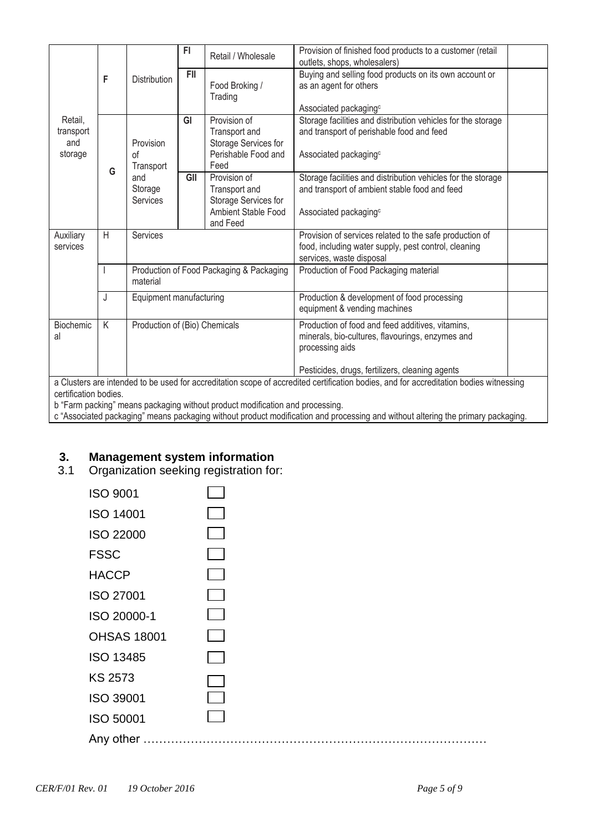|                                                                                                                                        |   |                                                      | FI.        | Retail / Wholesale                                                                       | Provision of finished food products to a customer (retail<br>outlets, shops, wholesalers)                                                          |  |
|----------------------------------------------------------------------------------------------------------------------------------------|---|------------------------------------------------------|------------|------------------------------------------------------------------------------------------|----------------------------------------------------------------------------------------------------------------------------------------------------|--|
|                                                                                                                                        | F | <b>Distribution</b>                                  | <b>FII</b> | Food Broking /<br>Trading                                                                | Buying and selling food products on its own account or<br>as an agent for others<br>Associated packaging <sup>c</sup>                              |  |
| Retail,<br>transport<br>and<br>storage                                                                                                 | G | Provision<br>οf<br>Transport                         | GI         | Provision of<br>Transport and<br>Storage Services for<br>Perishable Food and<br>Feed     | Storage facilities and distribution vehicles for the storage<br>and transport of perishable food and feed<br>Associated packaging <sup>c</sup>     |  |
|                                                                                                                                        |   | and<br>Storage<br>Services                           | GII        | Provision of<br>Transport and<br>Storage Services for<br>Ambient Stable Food<br>and Feed | Storage facilities and distribution vehicles for the storage<br>and transport of ambient stable food and feed<br>Associated packaging <sup>c</sup> |  |
| Auxiliary<br>services                                                                                                                  | H | Services                                             |            |                                                                                          | Provision of services related to the safe production of<br>food, including water supply, pest control, cleaning<br>services, waste disposal        |  |
|                                                                                                                                        |   | Production of Food Packaging & Packaging<br>material |            |                                                                                          | Production of Food Packaging material                                                                                                              |  |
|                                                                                                                                        | J | Equipment manufacturing                              |            |                                                                                          | Production & development of food processing<br>equipment & vending machines                                                                        |  |
| Biochemic<br>al                                                                                                                        | K | Production of (Bio) Chemicals                        |            |                                                                                          | Production of food and feed additives, vitamins,<br>minerals, bio-cultures, flavourings, enzymes and<br>processing aids                            |  |
|                                                                                                                                        |   |                                                      |            |                                                                                          | Pesticides, drugs, fertilizers, cleaning agents                                                                                                    |  |
| a Clusters are intended to be used for accreditation scope of accredited certification bodies, and for accreditation bodies witnessing |   |                                                      |            |                                                                                          |                                                                                                                                                    |  |

certification bodies. b "Farm packing" means packaging without product modification and processing.

c "Associated packaging" means packaging without product modification and processing and without altering the primary packaging.

# **3. Management system information**

3.1 Organization seeking registration for:

| <b>ISO 9001</b>    |  |
|--------------------|--|
| <b>ISO 14001</b>   |  |
| <b>ISO 22000</b>   |  |
| <b>FSSC</b>        |  |
| <b>HACCP</b>       |  |
| <b>ISO 27001</b>   |  |
| ISO 20000-1        |  |
| <b>OHSAS 18001</b> |  |
| <b>ISO 13485</b>   |  |
| <b>KS 2573</b>     |  |
| <b>ISO 39001</b>   |  |
| <b>ISO 50001</b>   |  |
| Any other          |  |
|                    |  |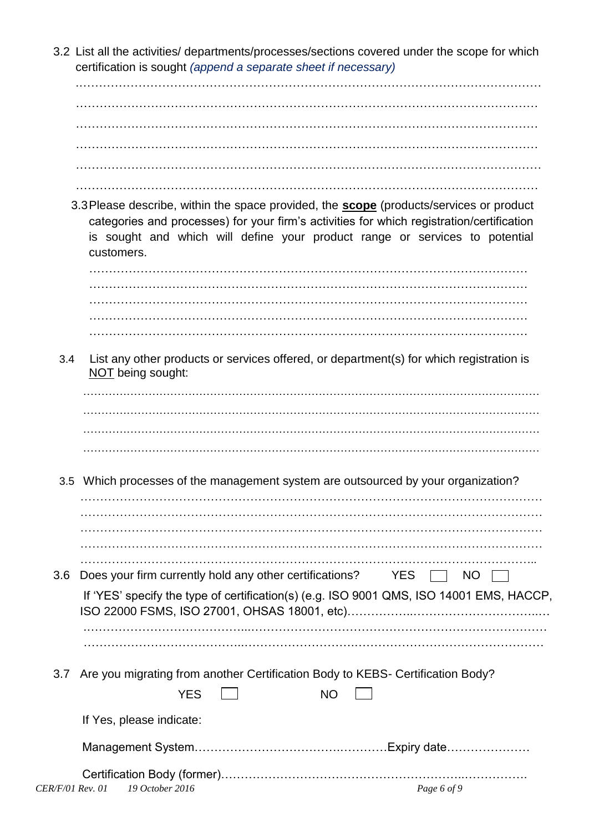3.2 List all the activities/ departments/processes/sections covered under the scope for which certification is sought *(append a separate sheet if necessary)*

……………………………………………………………………………………………………… ……………………………………………………………………………………………………… ……………………………………………………………………………………………………… …………………………………………………………….………………………………………… ………………………………………………………………………………………………………

.………………………………………………………………………………………………………

3.3Please describe, within the space provided, the **scope** (products/services or product categories and processes) for your firm's activities for which registration/certification is sought and which will define your product range or services to potential customers.

………………………………………………………………………………………………… ………………………………………………………………………………………………… ………………………………………………………………………………………………… ………………………………………………………………………………………………… …………………………………………………………………………………………………

3.4 List any other products or services offered, or department(s) for which registration is NOT being sought:

3.5 Which processes of the management system are outsourced by your organization?

| 3.6 | Does your firm currently hold any other certifications? YES<br><b>NO</b>                |
|-----|-----------------------------------------------------------------------------------------|
|     | If 'YES' specify the type of certification(s) (e.g. ISO 9001 QMS, ISO 14001 EMS, HACCP, |
|     |                                                                                         |
|     | 3.7 Are you migrating from another Certification Body to KEBS- Certification Body?      |
|     | <b>YES</b><br>NΟ                                                                        |
|     | If Yes, please indicate:                                                                |

| CER/F/01 Rev. 01 19 October 2016 | Page 6 of 9 |
|----------------------------------|-------------|

Management System……………………………….…………Expiry date…………………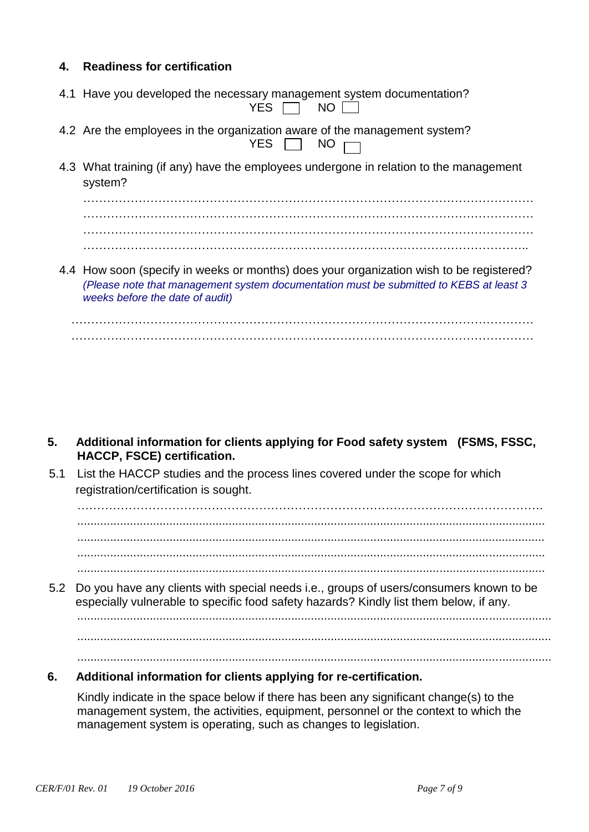# **4. Readiness for certification**

| 4.1 Have you developed the necessary management system documentation?<br>YES $\Box$ NO $\Box$     |
|---------------------------------------------------------------------------------------------------|
| 4.2 Are the employees in the organization aware of the management system?<br>YES $\Box$ NO $\Box$ |

4.3 What training (if any) have the employees undergone in relation to the management system?

…………………………………………………………………………………………………… …………………………………………………………………………………………………… …………………………………………………………………………………………………..

4.4 How soon (specify in weeks or months) does your organization wish to be registered? *(Please note that management system documentation must be submitted to KEBS at least 3 weeks before the date of audit)*

- **5. Additional information for clients applying for Food safety system (FSMS, FSSC, HACCP, FSCE) certification.**
- 5.1 List the HACCP studies and the process lines covered under the scope for which registration/certification is sought.

.............................................................................................................................................. ..............................................................................................................................................

5.2 Do you have any clients with special needs i.e., groups of users/consumers known to be especially vulnerable to specific food safety hazards? Kindly list them below, if any.

..............................................................................................................................................

................................................................................................................................................

................................................................................................................................................

# **6. Additional information for clients applying for re-certification.**

Kindly indicate in the space below if there has been any significant change(s) to the management system, the activities, equipment, personnel or the context to which the management system is operating, such as changes to legislation.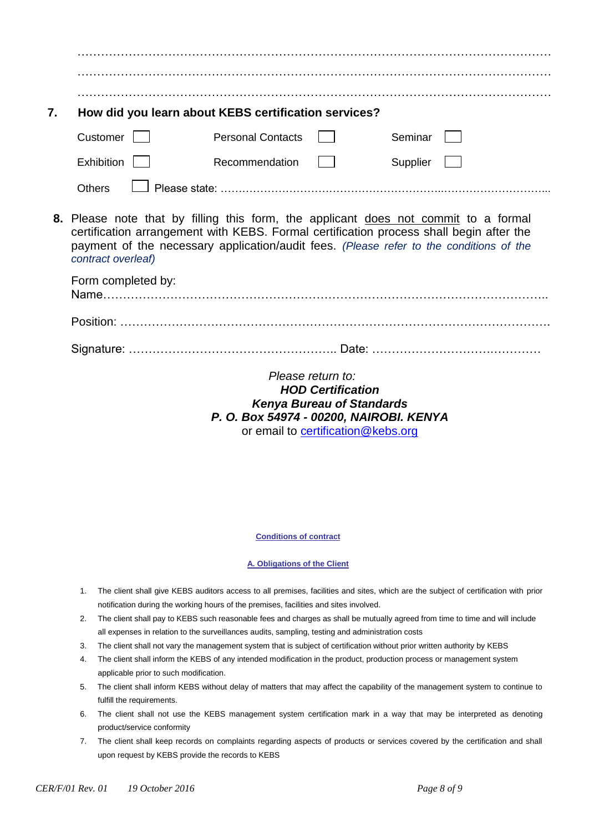| 7. |                                                                                                                                                                                                                                                                                                 | How did you learn about KEBS certification services? |  |          |  |  |  |
|----|-------------------------------------------------------------------------------------------------------------------------------------------------------------------------------------------------------------------------------------------------------------------------------------------------|------------------------------------------------------|--|----------|--|--|--|
|    | Customer                                                                                                                                                                                                                                                                                        | <b>Personal Contacts</b>                             |  | Seminar  |  |  |  |
|    | <b>Exhibition</b>                                                                                                                                                                                                                                                                               | Recommendation                                       |  | Supplier |  |  |  |
|    | <b>Others</b>                                                                                                                                                                                                                                                                                   |                                                      |  |          |  |  |  |
|    | 8. Please note that by filling this form, the applicant does not commit to a formal<br>certification arrangement with KEBS. Formal certification process shall begin after the<br>payment of the necessary application/audit fees. (Please refer to the conditions of the<br>contract overleaf) |                                                      |  |          |  |  |  |
|    | Form completed by:                                                                                                                                                                                                                                                                              |                                                      |  |          |  |  |  |
|    |                                                                                                                                                                                                                                                                                                 |                                                      |  |          |  |  |  |
|    |                                                                                                                                                                                                                                                                                                 |                                                      |  |          |  |  |  |
|    | Please return to:<br>$IIAB$ $O$ - $II$ $I.1$                                                                                                                                                                                                                                                    |                                                      |  |          |  |  |  |

*HOD Certification Kenya Bureau of Standards P. O. Box 54974 - 00200, NAIROBI. KENYA* or email to [certification@kebs.org](mailto:certification@kebs.org)

### **Conditions of contract**

### **A. Obligations of the Client**

- 1. The client shall give KEBS auditors access to all premises, facilities and sites, which are the subject of certification with prior notification during the working hours of the premises, facilities and sites involved.
- 2. The client shall pay to KEBS such reasonable fees and charges as shall be mutually agreed from time to time and will include all expenses in relation to the surveillances audits, sampling, testing and administration costs
- 3. The client shall not vary the management system that is subject of certification without prior written authority by KEBS
- 4. The client shall inform the KEBS of any intended modification in the product, production process or management system applicable prior to such modification.
- 5. The client shall inform KEBS without delay of matters that may affect the capability of the management system to continue to fulfill the requirements.
- 6. The client shall not use the KEBS management system certification mark in a way that may be interpreted as denoting product/service conformity
- 7. The client shall keep records on complaints regarding aspects of products or services covered by the certification and shall upon request by KEBS provide the records to KEBS